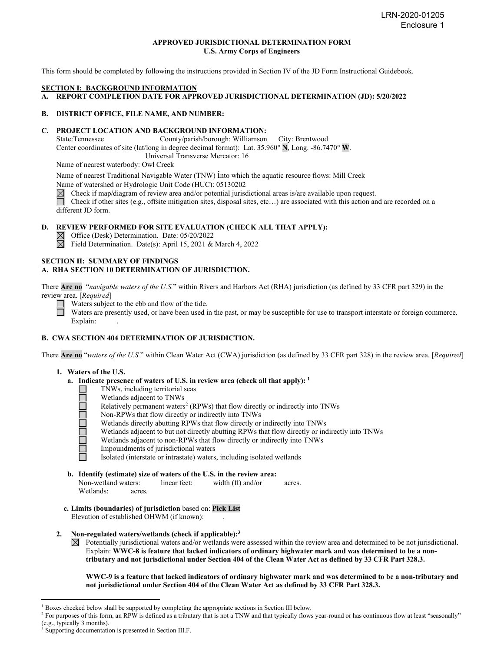## **APPROVED JURISDICTIONAL DETERMINATION FORM U.S. Army Corps of Engineers**

This form should be completed by following the instructions provided in Section IV of the JD Form Instructional Guidebook.

#### **SECTION I: BACKGROUND INFORMATION**

**\$ REPORT COMPLETION DATE FOR APPROVED JURISDICTIONAL DETERMINATION (JD): 5/20/2022**

# **% DISTRICT OFFICE, FILE NAME, AND NUMBER:/51**

## **& PROJECT LOCATION AND BACKGROUND INFORMATION:**

State:Tennessee County/parish/borough: Williamson City: Brentwood Center coordinates of site (lat/long in degree decimal format): Lat. 35.960° **N**, Long. -86.7470° **W**. Universal Transverse Mercator: 16 Name of nearest waterbody: Owl Creek

Name of nearest Traditional Navigable Water (TNW) into which the aquatic resource flows: Mill Creek

Name of watershed or Hydrologic Unit Code (HUC): 05130202

 $\boxtimes$ Check if map/diagram of review area and/or potential jurisdictional areas is/are available upon request.

Check if other sites (e.g., offsite mitigation sites, disposal sites, etc…) are associated with this action and are recorded on a different JD form.

#### **D. REVIEW PERFORMED FOR SITE EVALUATION (CHECK ALL THAT APPLY):**

Office (Desk) Determination. Date: 05/20/2022

 $\boxtimes$  Field Determination. Date(s): April 15, 2021 & March 4, 2022

## **SECTION II: SUMMARY OF FINDINGS**

# **A. RHA SECTION 10 DETERMINATION OF JURISDICTION.**

There **Are no** "*navigable waters of the U.S.*" within Rivers and Harbors Act (RHA) jurisdiction (as defined by 33 CFR part 329) in the review area. [*Required*]

Waters subject to the ebb and flow of the tide.

Waters are presently used, or have been used in the past, or may be susceptible for use to transport interstate or foreign commerce. Explain:

# **B. CWA SECTION 404 DETERMINATION OF JURISDICTION.**

There **Are no** "*waters of the U.S.*" within Clean Water Act (CWA) jurisdiction (as defined by 33 CFR part 328) in the review area. [*Required*]

## **1. Waters of the U.S.**

- **a. Indicate presence of waters of U.S. in review area (check all that apply): 1**
	- TNWs, including territorial seas
	- Wetlands adjacent to TNWs
	- 00000 Relatively permanent waters<sup>2</sup> (RPWs) that flow directly or indirectly into TNWs
		- Non-RPWs that flow directly or indirectly into TNWs
		- Wetlands directly abutting RPWs that flow directly or indirectly into TNWs
		- Wetlands adjacent to but not directly abutting RPWs that flow directly or indirectly into TNWs
		- Wetlands adjacent to non-RPWs that flow directly or indirectly into TNWs
		- Impoundments of jurisdictional waters

Isolated (interstate or intrastate) waters, including isolated wetlands

**b. Identify (estimate) size of waters of the U.S. in the review area:**

Non-wetland waters: linear feet: width (ft) and/or acres. Wetlands: acres.

**c. Limits (boundaries) of jurisdiction** based on: **Pick List** Elevation of established OHWM (if known):

### **2. Non-regulated waters/wetlands (check if applicable):3**

Potentially jurisdictional waters and/or wetlands were assessed within the review area and determined to be not jurisdictional. Explain: **WWC-8 is feature that lacked indicators of ordinary highwater mark and was determined to be a nontributary and not jurisdictional under Section 404 of the Clean Water Act as defined by 33 CFR Part 328.3.** 

 **WWC-9 is a feature that lacked indicators of ordinary highwater mark and was determined to be a non-tributary and not jurisdictional under Section 404 of the Clean Water Act as defined by 33 CFR Part 328.3.** 

 $1$  Boxes checked below shall be supported by completing the appropriate sections in Section III below.

<sup>&</sup>lt;sup>2</sup> For purposes of this form, an RPW is defined as a tributary that is not a TNW and that typically flows year-round or has continuous flow at least "seasonally" (e.g., typically 3 months).  $3 \text{ Supporting documentation is presented in Section III.F.}$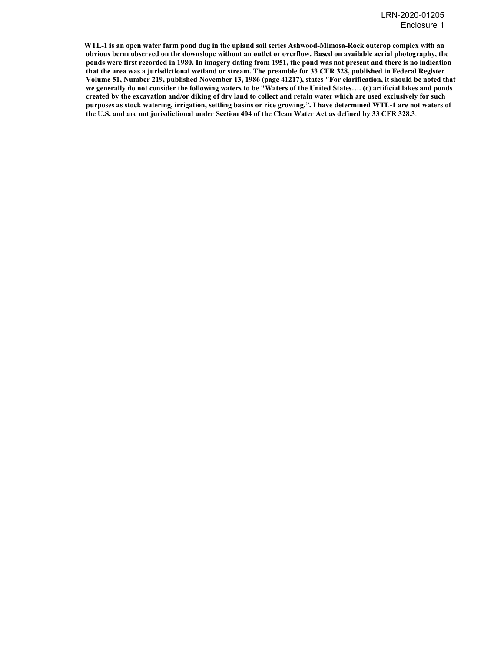**WTL-1 is an open water farm pond dug in the upland soil series Ashwood-Mimosa-Rock outcrop complex with an obvious berm observed on the downslope without an outlet or overflow. Based on available aerial photography, the ponds were first recorded in 1980. In imagery dating from 1951, the pond was not present and there is no indication that the area was a jurisdictional wetland or stream. The preamble for 33 CFR 328, published in Federal Register Volume 51, Number 219, published November 13, 1986 (page 41217), states "For clarification, it should be noted that we generally do not consider the following waters to be "Waters of the United States…. (c) artificial lakes and ponds created by the excavation and/or diking of dry land to collect and retain water which are used exclusively for such purposes as stock watering, irrigation, settling basins or rice growing.". I have determined WTL-1 are not waters of the U.S. and are not jurisdictional under Section 404 of the Clean Water Act as defined by 33 CFR 328.3**.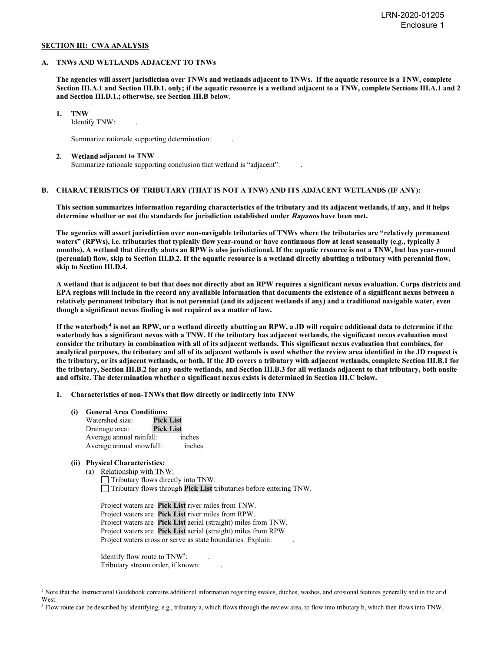#### **SECTION III: CWA ANALYSIS**

#### **A. TNWs AND WETLANDS ADJACENT TO TNWs**

**The agencies will assert jurisdiction over TNWs and wetlands adjacent to TNWs. If the aquatic resource is a TNW, complete Section III.A.1 and Section III.D.1. only; if the aquatic resource is a wetland adjacent to a TNW, complete Sections III.A.1 and 2 and Section III.D.1.; otherwise, see Section III.B below**.

 **1. TNW** 

Identify TNW:

Summarize rationale supporting determination: .

#### **2. Wetland adjacent to TNW**

Summarize rationale supporting conclusion that wetland is "adjacent":

# **B. CHARACTERISTICS OF TRIBUTARY (THAT IS NOT A TNW) AND ITS ADJACENT WETLANDS (IF ANY):**

 **This section summarizes information regarding characteristics of the tributary and its adjacent wetlands, if any, and it helps determine whether or not the standards for jurisdiction established under Rapanos have been met.** 

 **The agencies will assert jurisdiction over non-navigable tributaries of TNWs where the tributaries are "relatively permanent waters" (RPWs), i.e. tributaries that typically flow year-round or have continuous flow at least seasonally (e.g., typically 3 months). A wetland that directly abuts an RPW is also jurisdictional. If the aquatic resource is not a TNW, but has year-round (perennial) flow, skip to Section III.D.2. If the aquatic resource is a wetland directly abutting a tributary with perennial flow, skip to Section III.D.4.** 

**A wetland that is adjacent to but that does not directly abut an RPW requires a significant nexus evaluation. Corps districts and EPA regions will include in the record any available information that documents the existence of a significant nexus between a relatively permanent tributary that is not perennial (and its adjacent wetlands if any) and a traditional navigable water, even though a significant nexus finding is not required as a matter of law.** 

**If the waterbody4 is not an RPW, or a wetland directly abutting an RPW, a JD will require additional data to determine if the waterbody has a significant nexus with a TNW. If the tributary has adjacent wetlands, the significant nexus evaluation must consider the tributary in combination with all of its adjacent wetlands. This significant nexus evaluation that combines, for analytical purposes, the tributary and all of its adjacent wetlands is used whether the review area identified in the JD request is the tributary, or its adjacent wetlands, or both. If the JD covers a tributary with adjacent wetlands, complete Section III.B.1 for the tributary, Section III.B.2 for any onsite wetlands, and Section III.B.3 for all wetlands adjacent to that tributary, both onsite and offsite. The determination whether a significant nexus exists is determined in Section III.C below.** 

 **1. Characteristics of non-TNWs that flow directly or indirectly into TNW**

 **(i) General Area Conditions:**

| Watershed size:          | <b>Pick List</b> |  |
|--------------------------|------------------|--|
| Drainage area:           | <b>Pick List</b> |  |
| Average annual rainfall: | inches           |  |
| Average annual snowfall: | inches           |  |

## **(ii) Physical Characteristics:**

(a) Relationship with TNW: Tributary flows directly into TNW. Tributary flows through **Pick List** tributaries before entering TNW.

Project waters are **Pick List** river miles from TNW. Project waters are **Pick List** river miles from RPW. Project waters are **Pick List** aerial (straight) miles from TNW. Project waters are **Pick List** aerial (straight) miles from RPW. Project waters cross or serve as state boundaries. Explain:

Identify flow route to TNW<sup>5</sup>: Tributary stream order, if known: .

<sup>4</sup> Note that the Instructional Guidebook contains additional information regarding swales, ditches, washes, and erosional features generally and in the arid West.

<sup>5</sup> Flow route can be described by identifying, e.g., tributary a, which flows through the review area, to flow into tributary b, which then flows into TNW.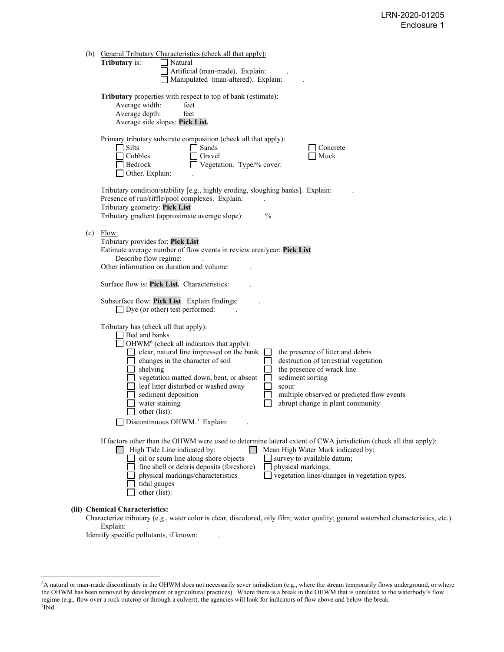| (b) | <b>General Tributary Characteristics (check all that apply):</b><br>Tributary is:<br>Natural<br>Artificial (man-made). Explain:<br>Manipulated (man-altered). Explain:                                                                                                                                                                                                                                                                                                                                                                                                                                                                                             |  |  |  |  |  |
|-----|--------------------------------------------------------------------------------------------------------------------------------------------------------------------------------------------------------------------------------------------------------------------------------------------------------------------------------------------------------------------------------------------------------------------------------------------------------------------------------------------------------------------------------------------------------------------------------------------------------------------------------------------------------------------|--|--|--|--|--|
|     | Tributary properties with respect to top of bank (estimate):<br>Average width:<br>feet<br>Average depth:<br>feet<br>Average side slopes: Pick List.                                                                                                                                                                                                                                                                                                                                                                                                                                                                                                                |  |  |  |  |  |
|     | Primary tributary substrate composition (check all that apply):<br>Silts<br>Sands<br>$\blacksquare$<br>Concrete<br>Cobbles<br>Gravel<br>Muck<br>Bedrock<br>Vegetation. Type/% cover:<br>Other. Explain:                                                                                                                                                                                                                                                                                                                                                                                                                                                            |  |  |  |  |  |
|     | Tributary condition/stability [e.g., highly eroding, sloughing banks]. Explain:<br>Presence of run/riffle/pool complexes. Explain:<br>Tributary geometry: Pick List<br>Tributary gradient (approximate average slope):<br>$\frac{0}{0}$                                                                                                                                                                                                                                                                                                                                                                                                                            |  |  |  |  |  |
|     | Flow:<br>(c)<br>Tributary provides for: Pick List<br>Estimate average number of flow events in review area/year: Pick List<br>Describe flow regime:<br>Other information on duration and volume:                                                                                                                                                                                                                                                                                                                                                                                                                                                                   |  |  |  |  |  |
|     | Surface flow is: Pick List. Characteristics:                                                                                                                                                                                                                                                                                                                                                                                                                                                                                                                                                                                                                       |  |  |  |  |  |
|     | Subsurface flow: Pick List. Explain findings:<br>$\Box$ Dye (or other) test performed:                                                                                                                                                                                                                                                                                                                                                                                                                                                                                                                                                                             |  |  |  |  |  |
|     | Tributary has (check all that apply):<br>Bed and banks<br>$\Box$ OHWM <sup>6</sup> (check all indicators that apply):<br>clear, natural line impressed on the bank<br>the presence of litter and debris<br>destruction of terrestrial vegetation<br>changes in the character of soil<br>the presence of wrack line<br>shelving<br>vegetation matted down, bent, or absent<br>$\Box$<br>sediment sorting<br>$\Box$<br>leaf litter disturbed or washed away<br>scour<br>sediment deposition<br>multiple observed or predicted flow events<br>abrupt change in plant community<br>water staining<br>other (list):<br>$\Box$ Discontinuous OHWM. <sup>7</sup> Explain: |  |  |  |  |  |
|     | If factors other than the OHWM were used to determine lateral extent of CWA jurisdiction (check all that apply):<br>$\Box$ High Tide Line indicated by:<br>Mean High Water Mark indicated by:<br>oil or scum line along shore objects<br>survey to available datum;<br>fine shell or debris deposits (foreshore)<br>physical markings;<br>vegetation lines/changes in vegetation types.<br>physical markings/characteristics<br>tidal gauges<br>other (list):                                                                                                                                                                                                      |  |  |  |  |  |
|     | (iii) Chemical Characteristics:                                                                                                                                                                                                                                                                                                                                                                                                                                                                                                                                                                                                                                    |  |  |  |  |  |

Characterize tributary (e.g., water color is clear, discolored, oily film; water quality; general watershed characteristics, etc.). Explain:

Identify specific pollutants, if known:

<sup>6</sup> A natural or man-made discontinuity in the OHWM does not necessarily sever jurisdiction (e.g., where the stream temporarily flows underground, or where the OHWM has been removed by development or agricultural practices). Where there is a break in the OHWM that is unrelated to the waterbody's flow regime (e.g., flow over a rock outcrop or through a culvert), the agencies will look for indicators of flow above and below the break. 7 Ibid.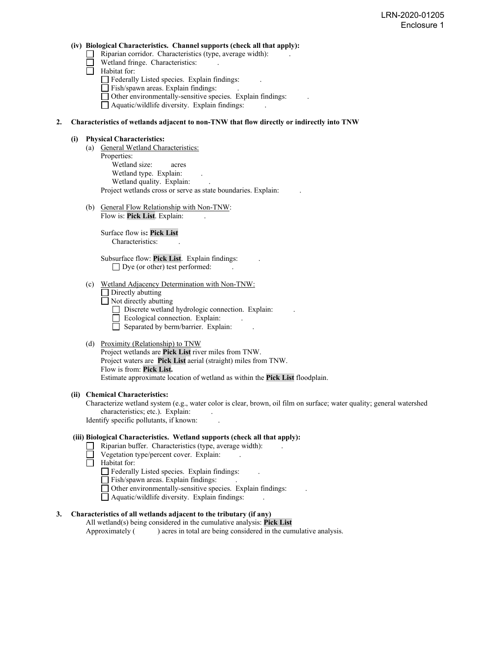#### **(iv) Biological Characteristics. Channel supports (check all that apply):**

- $\Box$  Riparian corridor. Characteristics (type, average width):
- Wetland fringe. Characteristics:
- $\Box$  Habitat for:
	- Federally Listed species. Explain findings:
	- $\Box$  Fish/spawn areas. Explain findings:
	- Other environmentally-sensitive species. Explain findings: .
	- Aquatic/wildlife diversity. Explain findings: .

## **2. Characteristics of wetlands adjacent to non-TNW that flow directly or indirectly into TNW**

### **(i) Physical Characteristics:**

- (a) General Wetland Characteristics: Properties: Wetland size: acres Wetland type. Explain: Wetland quality. Explain: Project wetlands cross or serve as state boundaries. Explain: .
- (b) General Flow Relationship with Non-TNW: Flow is: **Pick List**. Explain: .

 Surface flow is**: Pick List**  Characteristics:

 Subsurface flow: **Pick List**. Explain findings: .  $\Box$  Dye (or other) test performed:

### (c) Wetland Adjacency Determination with Non-TNW:

- □ Directly abutting
- Not directly abutting
	- Discrete wetland hydrologic connection. Explain:
	- Ecological connection. Explain:
	- $\Box$  Separated by berm/barrier. Explain:

## (d) Proximity (Relationship) to TNW

Project wetlands are **Pick List** river miles from TNW. Project waters are **Pick List** aerial (straight) miles from TNW. Flow is from: **Pick List.** Estimate approximate location of wetland as within the **Pick List** floodplain.

## **(ii) Chemical Characteristics:**

Characterize wetland system (e.g., water color is clear, brown, oil film on surface; water quality; general watershed characteristics; etc.). Explain: Identify specific pollutants, if known: .

# **(iii) Biological Characteristics. Wetland supports (check all that apply):**

- $\Box$  Riparian buffer. Characteristics (type, average width):
- Vegetation type/percent cover. Explain: .
- $\Box$  Habitat for:
	- Federally Listed species. Explain findings:
	- Fish/spawn areas. Explain findings: .
	- Other environmentally-sensitive species. Explain findings: .
	- $\Box$  Aquatic/wildlife diversity. Explain findings:

# **3. Characteristics of all wetlands adjacent to the tributary (if any)**

All wetland(s) being considered in the cumulative analysis: **Pick List** Approximately ( ) acres in total are being considered in the cumulative analysis.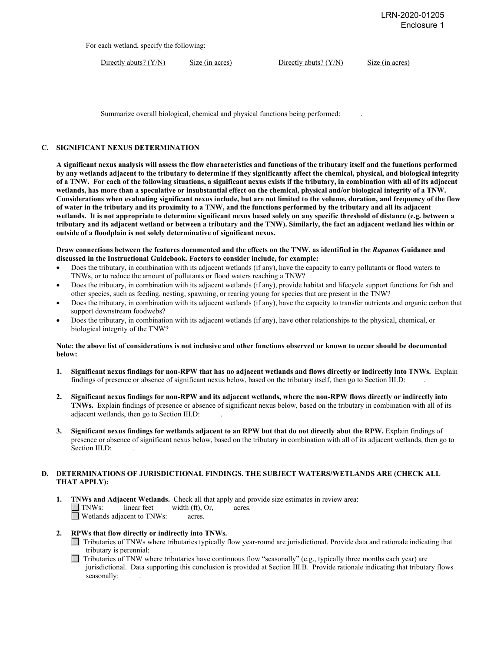For each wetland, specify the following:

Directly abuts? (Y/N) Size (in acres) Directly abuts? (Y/N) Size (in acres)

Summarize overall biological, chemical and physical functions being performed: .

### **C. SIGNIFICANT NEXUS DETERMINATION**

**A significant nexus analysis will assess the flow characteristics and functions of the tributary itself and the functions performed by any wetlands adjacent to the tributary to determine if they significantly affect the chemical, physical, and biological integrity of a TNW. For each of the following situations, a significant nexus exists if the tributary, in combination with all of its adjacent wetlands, has more than a speculative or insubstantial effect on the chemical, physical and/or biological integrity of a TNW. Considerations when evaluating significant nexus include, but are not limited to the volume, duration, and frequency of the flow of water in the tributary and its proximity to a TNW, and the functions performed by the tributary and all its adjacent wetlands. It is not appropriate to determine significant nexus based solely on any specific threshold of distance (e.g. between a tributary and its adjacent wetland or between a tributary and the TNW). Similarly, the fact an adjacent wetland lies within or outside of a floodplain is not solely determinative of significant nexus.** 

**Draw connections between the features documented and the effects on the TNW, as identified in the** *Rapanos* **Guidance and discussed in the Instructional Guidebook. Factors to consider include, for example:**

- Does the tributary, in combination with its adjacent wetlands (if any), have the capacity to carry pollutants or flood waters to TNWs, or to reduce the amount of pollutants or flood waters reaching a TNW?
- Does the tributary, in combination with its adjacent wetlands (if any), provide habitat and lifecycle support functions for fish and other species, such as feeding, nesting, spawning, or rearing young for species that are present in the TNW?
- Does the tributary, in combination with its adjacent wetlands (if any), have the capacity to transfer nutrients and organic carbon that support downstream foodwebs?
- Does the tributary, in combination with its adjacent wetlands (if any), have other relationships to the physical, chemical, or biological integrity of the TNW?

#### **Note: the above list of considerations is not inclusive and other functions observed or known to occur should be documented below:**

- **1. Significant nexus findings for non-RPW that has no adjacent wetlands and flows directly or indirectly into TNWs.** Explain findings of presence or absence of significant nexus below, based on the tributary itself, then go to Section III.D: .
- **2. Significant nexus findings for non-RPW and its adjacent wetlands, where the non-RPW flows directly or indirectly into TNWs.** Explain findings of presence or absence of significant nexus below, based on the tributary in combination with all of its adjacent wetlands, then go to Section III.D: .
- **3. Significant nexus findings for wetlands adjacent to an RPW but that do not directly abut the RPW.** Explain findings of presence or absence of significant nexus below, based on the tributary in combination with all of its adjacent wetlands, then go to Section III.D:

## **D. DETERMINATIONS OF JURISDICTIONAL FINDINGS. THE SUBJECT WATERS/WETLANDS ARE (CHECK ALL THAT APPLY):**

- **1. INWs and Adjacent Wetlands.** Check all that apply and provide size estimates in review area:<br> **INWs:** linear feet width (ft), Or, acres. width (ft), Or, acres.  $\Box$  Wetlands adjacent to TNWs: acres.
- **2. RPWs that flow directly or indirectly into TNWs.** 
	- Tributaries of TNWs where tributaries typically flow year-round are jurisdictional. Provide data and rationale indicating that tributary is perennial: .
	- $\Box$  Tributaries of TNW where tributaries have continuous flow "seasonally" (e.g., typically three months each year) are jurisdictional. Data supporting this conclusion is provided at Section III.B. Provide rationale indicating that tributary flows seasonally: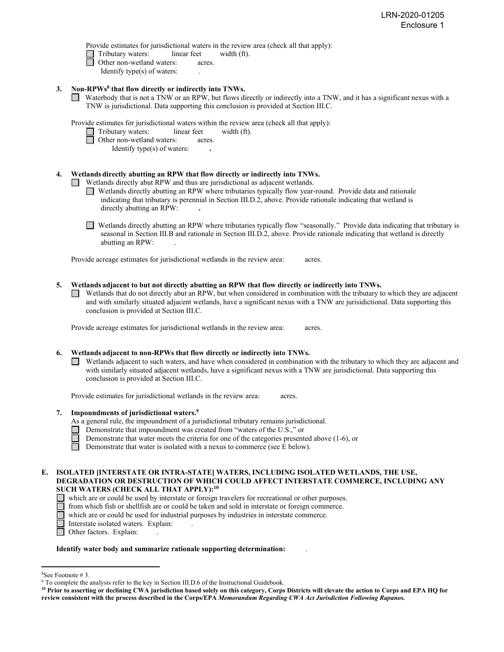Provide estimates for jurisdictional waters in the review area (check all that apply):

- Tributary waters:linear feetwidth (ft).
- $\Box$  Other non-wetland waters: acres.
	- Identify type(s) of waters: .
- **3. Non-RPWs8 that flow directly or indirectly into TNWs.**
	- Waterbody that is not a TNW or an RPW, but flows directly or indirectly into a TNW, and it has a significant nexus with a TNW is jurisdictional. Data supporting this conclusion is provided at Section III.C.

Provide estimates for jurisdictional waters within the review area (check all that apply):

- Tributary waters:linear feetwidth (ft).
- □ Other non-wetland waters: acres.
	- Identify type(s) of waters: **.**

## **4. Wetlands directly abutting an RPW that flow directly or indirectly into TNWs.**

**I** Wetlands directly abut RPW and thus are jurisdictional as adjacent wetlands.

- Wetlands directly abutting an RPW where tributaries typically flow year-round. Provide data and rationale indicating that tributary is perennial in Section III.D.2, above. Provide rationale indicating that wetland is directly abutting an RPW: **.**
- Wetlands directly abutting an RPW where tributaries typically flow "seasonally." Provide data indicating that tributary is seasonal in Section III.B and rationale in Section III.D.2, above. Provide rationale indicating that wetland is directly abutting an RPW: .

Provide acreage estimates for jurisdictional wetlands in the review area:acres.

## **5. Wetlands adjacent to but not directly abutting an RPW that flow directly or indirectly into TNWs.**

 $\Box$  Wetlands that do not directly abut an RPW, but when considered in combination with the tributary to which they are adjacent and with similarly situated adjacent wetlands, have a significant nexus with a TNW are jurisidictional. Data supporting this conclusion is provided at Section III.C.

Provide acreage estimates for jurisdictional wetlands in the review area:acres.

## **6. Wetlands adjacent to non-RPWs that flow directly or indirectly into TNWs.**

Wetlands adjacent to such waters, and have when considered in combination with the tributary to which they are adjacent and with similarly situated adjacent wetlands, have a significant nexus with a TNW are jurisdictional. Data supporting this conclusion is provided at Section III.C.

Provide estimates for jurisdictional wetlands in the review area:acres.

- **7. Impoundments of jurisdictional waters. 9**
	- As a general rule, the impoundment of a jurisdictional tributary remains jurisdictional.
		- Demonstrate that impoundment was created from "waters of the U.S.," or
		- Demonstrate that water meets the criteria for one of the categories presented above (1-6), or
	- Demonstrate that water is isolated with a nexus to commerce (see E below).

## **E. ISOLATED [INTERSTATE OR INTRA-STATE] WATERS, INCLUDING ISOLATED WETLANDS, THE USE, DEGRADATION OR DESTRUCTION OF WHICH COULD AFFECT INTERSTATE COMMERCE, INCLUDING ANY SUCH WATERS (CHECK ALL THAT APPLY):10**

- which are or could be used by interstate or foreign travelers for recreational or other purposes. П
- Ē from which fish or shellfish are or could be taken and sold in interstate or foreign commerce.
- $\Box$ which are or could be used for industrial purposes by industries in interstate commerce.
- Interstate isolated waters.Explain: .
- □ Other factors. Explain:

## **Identify water body and summarize rationale supporting determination:** .

<sup>&</sup>lt;sup>8</sup>See Footnote #3.

 $9$  To complete the analysis refer to the key in Section III.D.6 of the Instructional Guidebook.

**<sup>10</sup> Prior to asserting or declining CWA jurisdiction based solely on this category, Corps Districts will elevate the action to Corps and EPA HQ for review consistent with the process described in the Corps/EPA** *Memorandum Regarding CWA Act Jurisdiction Following Rapanos.*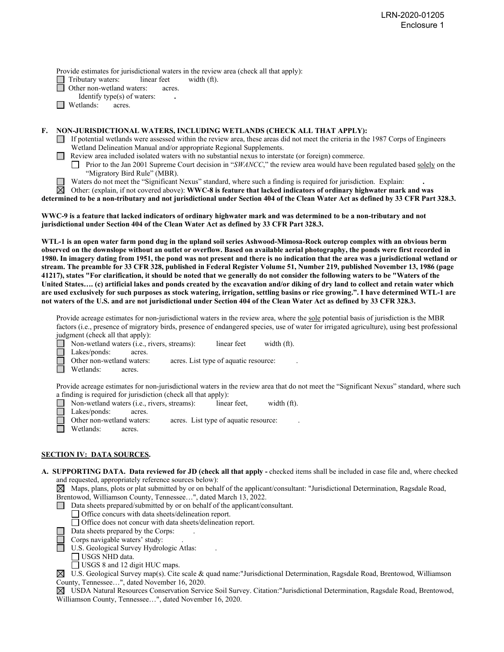Provide estimates for jurisdictional waters in the review area (check all that apply):

Tributary waters: linear feet width (ft).<br>
Other non-wetland waters: acres.

Other non-wetland waters: acres.

- Identify type(s) of waters: **.**
- **Netlands:** acres.

**F. NON-JURISDICTIONAL WATERS, INCLUDING WETLANDS (CHECK ALL THAT APPLY):**

- $\Box$  If potential wetlands were assessed within the review area, these areas did not meet the criteria in the 1987 Corps of Engineers Wetland Delineation Manual and/or appropriate Regional Supplements.
- **Review area included isolated waters with no substantial nexus to interstate (or foreign) commerce.** 
	- Prior to the Jan 2001 Supreme Court decision in "*SWANCC*," the review area would have been regulated based solely on the "Migratory Bird Rule" (MBR).
	- Waters do not meet the "Significant Nexus" standard, where such a finding is required for jurisdiction. Explain:

Other: (explain, if not covered above): **WWC-8 is feature that lacked indicators of ordinary highwater mark and was** 

**determined to be a non-tributary and not jurisdictional under Section 404 of the Clean Water Act as defined by 33 CFR Part 328.3.**

**WWC-9 is a feature that lacked indicators of ordinary highwater mark and was determined to be a non-tributary and not jurisdictional under Section 404 of the Clean Water Act as defined by 33 CFR Part 328.3.**

**WTL-1 is an open water farm pond dug in the upland soil series Ashwood-Mimosa-Rock outcrop complex with an obvious berm observed on the downslope without an outlet or overflow. Based on available aerial photography, the ponds were first recorded in 1980. In imagery dating from 1951, the pond was not present and there is no indication that the area was a jurisdictional wetland or stream. The preamble for 33 CFR 328, published in Federal Register Volume 51, Number 219, published November 13, 1986 (page 41217), states "For clarification, it should be noted that we generally do not consider the following waters to be "Waters of the United States…. (c) artificial lakes and ponds created by the excavation and/or diking of dry land to collect and retain water which are used exclusively for such purposes as stock watering, irrigation, settling basins or rice growing.". I have determined WTL-1 are not waters of the U.S. and are not jurisdictional under Section 404 of the Clean Water Act as defined by 33 CFR 328.3.**

Provide acreage estimates for non-jurisdictional waters in the review area, where the sole potential basis of jurisdiction is the MBR factors (i.e., presence of migratory birds, presence of endangered species, use of water for irrigated agriculture), using best professional judgment (check all that apply):

| $\alpha$ |                                             |  |                                       |             |  |  |
|----------|---------------------------------------------|--|---------------------------------------|-------------|--|--|
|          | Non-wetland waters (i.e., rivers, streams): |  | linear feet                           | width (ft). |  |  |
|          | Lakes/ponds:<br>acres.                      |  |                                       |             |  |  |
|          | Other non-wetland waters:                   |  | acres. List type of aquatic resource: |             |  |  |

Wetlands: acres.

Provide acreage estimates for non-jurisdictional waters in the review area that do not meet the "Significant Nexus" standard, where such a finding is required for jurisdiction (check all that apply):

Non-wetland waters (i.e., rivers, streams):linear feet,width (ft).

 $\Box$ Lakes/ponds: acres.

Other non-wetland waters: acres. List type of aquatic resource:

Wetlands: acres.

## **SECTION IV: DATA SOURCES.**

**A. SUPPORTING DATA. Data reviewed for JD (check all that apply -** checked items shall be included in case file and, where checked and requested, appropriately reference sources below):

 $\boxtimes$  Maps, plans, plots or plat submitted by or on behalf of the applicant/consultant: "Jurisdictional Determination, Ragsdale Road,

Brentowod, Williamson County, Tennessee…", dated March 13, 2022.

Data sheets prepared/submitted by or on behalf of the applicant/consultant.

Office concurs with data sheets/delineation report.

Office does not concur with data sheets/delineation report.

Data sheets prepared by the Corps: .

Corps navigable waters' study: .

U.S. Geological Survey Hydrologic Atlas: .

USGS NHD data.

□ USGS 8 and 12 digit HUC maps.

 $\boxtimes$  U.S. Geological Survey map(s). Cite scale & quad name: Jurisdictional Determination, Ragsdale Road, Brentowod, Williamson County, Tennessee…", dated November 16, 2020.

USDA Natural Resources Conservation Service Soil Survey. Citation:"Jurisdictional Determination, Ragsdale Road, Brentowod, Williamson County, Tennessee…", dated November 16, 2020.